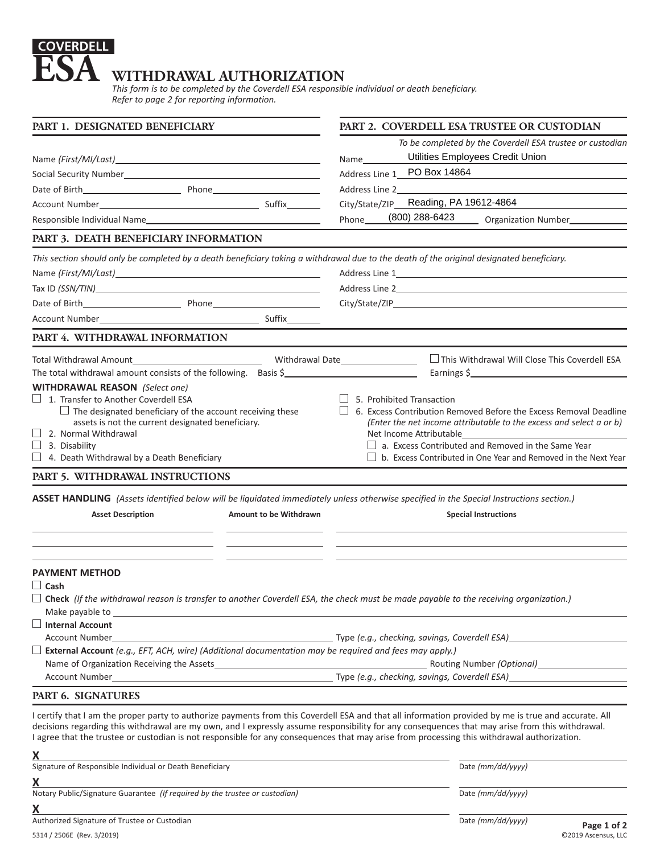## **COVERDELL ESA** WITHDRAWAL AUTHORIZATION

*This form is to be completed by the Coverdell ESA responsible individual or death beneficiary. Refer to page 2 for reporting information.*

| PART 1. DESIGNATED BENEFICIARY                                                                                                        | PART 2. COVERDELL ESA TRUSTEE OR CUSTODIAN                                                                                                                                                                                                                                                     |
|---------------------------------------------------------------------------------------------------------------------------------------|------------------------------------------------------------------------------------------------------------------------------------------------------------------------------------------------------------------------------------------------------------------------------------------------|
|                                                                                                                                       | To be completed by the Coverdell ESA trustee or custodian                                                                                                                                                                                                                                      |
|                                                                                                                                       | Utilities Employees Credit Union<br>Name                                                                                                                                                                                                                                                       |
|                                                                                                                                       | Address Line 1 PO Box 14864                                                                                                                                                                                                                                                                    |
|                                                                                                                                       | Address Line 2                                                                                                                                                                                                                                                                                 |
|                                                                                                                                       | Reading, PA 19612-4864<br>City/State/ZIP_                                                                                                                                                                                                                                                      |
| Responsible Individual Name                                                                                                           | (800) 288-6423<br>Phone<br>Organization Number                                                                                                                                                                                                                                                 |
| PART 3. DEATH BENEFICIARY INFORMATION                                                                                                 |                                                                                                                                                                                                                                                                                                |
|                                                                                                                                       | This section should only be completed by a death beneficiary taking a withdrawal due to the death of the original designated beneficiary.                                                                                                                                                      |
|                                                                                                                                       |                                                                                                                                                                                                                                                                                                |
|                                                                                                                                       |                                                                                                                                                                                                                                                                                                |
|                                                                                                                                       |                                                                                                                                                                                                                                                                                                |
|                                                                                                                                       |                                                                                                                                                                                                                                                                                                |
| PART 4. WITHDRAWAL INFORMATION                                                                                                        |                                                                                                                                                                                                                                                                                                |
|                                                                                                                                       | This Withdrawal Will Close This Coverdell ESA<br>Withdrawal Date__________________                                                                                                                                                                                                             |
| The total withdrawal amount consists of the following. Basis \$                                                                       | Earnings \$                                                                                                                                                                                                                                                                                    |
| <b>WITHDRAWAL REASON</b> (Select one)                                                                                                 |                                                                                                                                                                                                                                                                                                |
| $\Box$ 1. Transfer to Another Coverdell ESA                                                                                           | 5. Prohibited Transaction                                                                                                                                                                                                                                                                      |
| $\Box$ The designated beneficiary of the account receiving these<br>6. Excess Contribution Removed Before the Excess Removal Deadline |                                                                                                                                                                                                                                                                                                |
| assets is not the current designated beneficiary.                                                                                     | (Enter the net income attributable to the excess and select a or b)                                                                                                                                                                                                                            |
| 2. Normal Withdrawal                                                                                                                  | Net Income Attributable                                                                                                                                                                                                                                                                        |
| 3. Disability<br>4. Death Withdrawal by a Death Beneficiary                                                                           | a. Excess Contributed and Removed in the Same Year<br>$\Box$ b. Excess Contributed in One Year and Removed in the Next Year                                                                                                                                                                    |
|                                                                                                                                       |                                                                                                                                                                                                                                                                                                |
| PART 5. WITHDRAWAL INSTRUCTIONS                                                                                                       |                                                                                                                                                                                                                                                                                                |
|                                                                                                                                       | ASSET HANDLING (Assets identified below will be liquidated immediately unless otherwise specified in the Special Instructions section.)                                                                                                                                                        |
| <b>Asset Description</b>                                                                                                              | Amount to be Withdrawn<br><b>Special Instructions</b>                                                                                                                                                                                                                                          |
|                                                                                                                                       |                                                                                                                                                                                                                                                                                                |
|                                                                                                                                       |                                                                                                                                                                                                                                                                                                |
| <b>PAYMENT METHOD</b>                                                                                                                 |                                                                                                                                                                                                                                                                                                |
| $\Box$ Cash                                                                                                                           |                                                                                                                                                                                                                                                                                                |
|                                                                                                                                       | $\Box$ Check (If the withdrawal reason is transfer to another Coverdell ESA, the check must be made payable to the receiving organization.)                                                                                                                                                    |
|                                                                                                                                       |                                                                                                                                                                                                                                                                                                |
| Internal Account                                                                                                                      |                                                                                                                                                                                                                                                                                                |
|                                                                                                                                       |                                                                                                                                                                                                                                                                                                |
|                                                                                                                                       |                                                                                                                                                                                                                                                                                                |
|                                                                                                                                       | Routing Number (Optional) <b>Name of Action</b>                                                                                                                                                                                                                                                |
| PART 6. SIGNATURES                                                                                                                    |                                                                                                                                                                                                                                                                                                |
|                                                                                                                                       | I certify that I am the proper party to authorize payments from this Coverdell ESA and that all information provided by me is true and accurate. All                                                                                                                                           |
|                                                                                                                                       | decisions regarding this withdrawal are my own, and I expressly assume responsibility for any consequences that may arise from this withdrawal.<br>I agree that the trustee or custodian is not responsible for any consequences that may arise from processing this withdrawal authorization. |
| Х<br>and the control of the control of the control of the control of the control of the control of the control of the                 |                                                                                                                                                                                                                                                                                                |
| Signature of Responsible Individual or Death Beneficiary                                                                              | Date (mm/dd/yyyy)                                                                                                                                                                                                                                                                              |
| X                                                                                                                                     |                                                                                                                                                                                                                                                                                                |
| Notary Public/Signature Guarantee (If required by the trustee or custodian)                                                           | Date (mm/dd/yyyy)                                                                                                                                                                                                                                                                              |

**X**

Authorized Signature of Trustee or Custodian **Date** *(mm/dd/yyyy)* Date *(mm/dd/yyyy)*